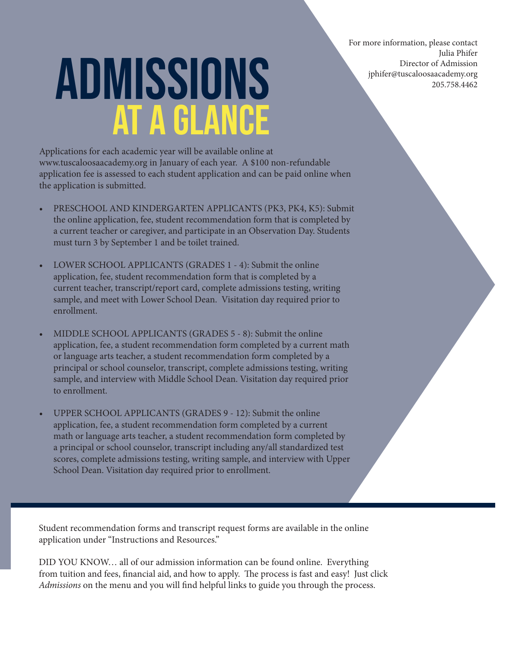For more information, please contact Julia Phifer Director of Admission jphifer@tuscaloosaacademy.org 205.758.4462

# Admissions at a Glance

Applications for each academic year will be available online at www.tuscaloosaacademy.org in January of each year. A \$100 non-refundable application fee is assessed to each student application and can be paid online when the application is submitted.

- PRESCHOOL AND KINDERGARTEN APPLICANTS (PK3, PK4, K5): Submit the online application, fee, student recommendation form that is completed by a current teacher or caregiver, and participate in an Observation Day. Students must turn 3 by September 1 and be toilet trained.
- LOWER SCHOOL APPLICANTS (GRADES 1 4): Submit the online application, fee, student recommendation form that is completed by a current teacher, transcript/report card, complete admissions testing, writing sample, and meet with Lower School Dean. Visitation day required prior to enrollment.
- MIDDLE SCHOOL APPLICANTS (GRADES 5 8): Submit the online application, fee, a student recommendation form completed by a current math or language arts teacher, a student recommendation form completed by a principal or school counselor, transcript, complete admissions testing, writing sample, and interview with Middle School Dean. Visitation day required prior to enrollment.
- UPPER SCHOOL APPLICANTS (GRADES 9 12): Submit the online application, fee, a student recommendation form completed by a current math or language arts teacher, a student recommendation form completed by a principal or school counselor, transcript including any/all standardized test scores, complete admissions testing, writing sample, and interview with Upper School Dean. Visitation day required prior to enrollment.

Student recommendation forms and transcript request forms are available in the online application under "Instructions and Resources."

DID YOU KNOW… all of our admission information can be found online. Everything from tuition and fees, financial aid, and how to apply. The process is fast and easy! Just click *Admissions* on the menu and you will find helpful links to guide you through the process.